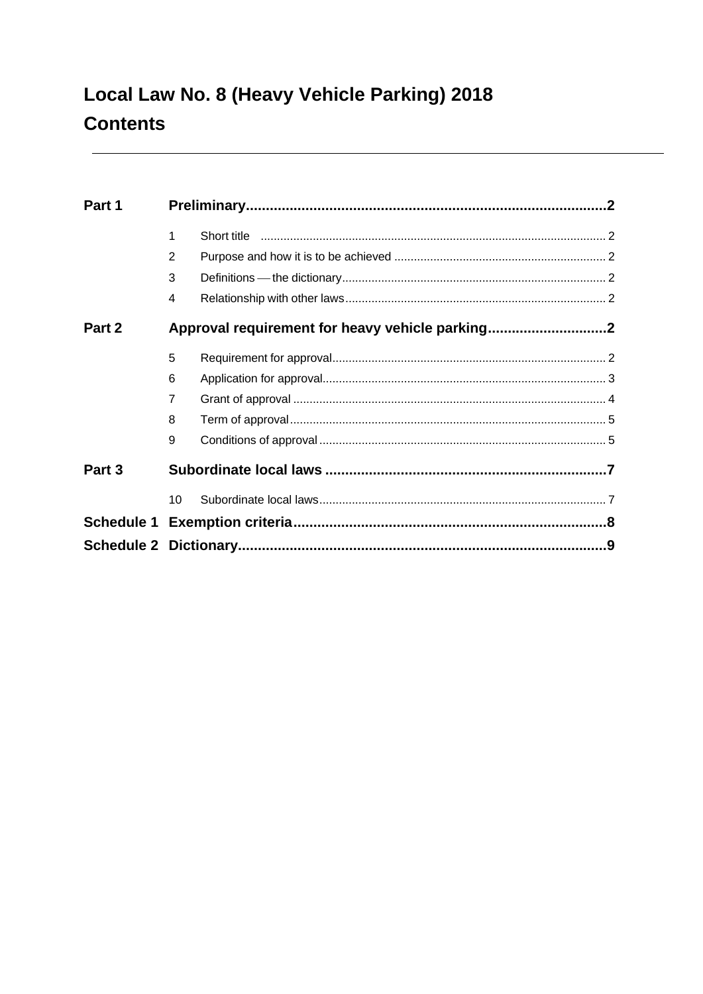| Part 1 |                         |                                                 |  |
|--------|-------------------------|-------------------------------------------------|--|
|        | 1                       |                                                 |  |
|        | $\overline{2}$          |                                                 |  |
|        | 3                       |                                                 |  |
|        | $\overline{\mathbf{4}}$ |                                                 |  |
| Part 2 |                         | Approval requirement for heavy vehicle parking2 |  |
|        | 5                       |                                                 |  |
|        | 6                       |                                                 |  |
|        | $\overline{7}$          |                                                 |  |
|        | 8                       |                                                 |  |
|        | 9                       |                                                 |  |
| Part 3 |                         |                                                 |  |
|        | 10                      |                                                 |  |
|        |                         |                                                 |  |
|        |                         |                                                 |  |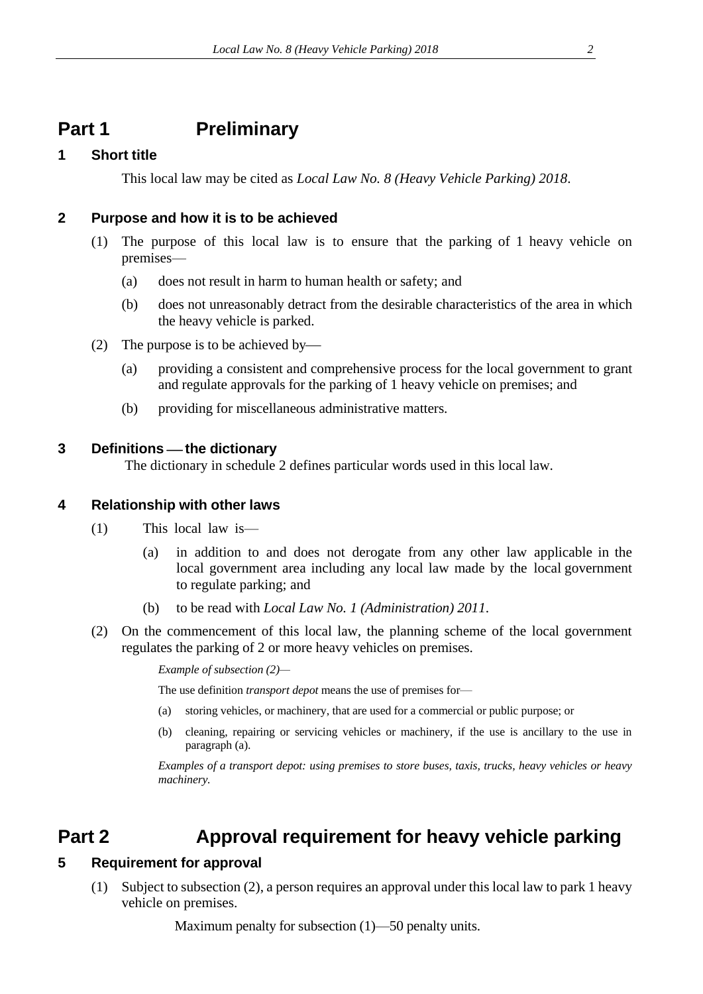# <span id="page-1-0"></span>**Part 1 Preliminary**

### <span id="page-1-1"></span>**1 Short title**

This local law may be cited as *Local Law No. 8 (Heavy Vehicle Parking) 2018*.

### <span id="page-1-2"></span>**2 Purpose and how it is to be achieved**

- (1) The purpose of this local law is to ensure that the parking of 1 heavy vehicle on premises—
	- (a) does not result in harm to human health or safety; and
	- (b) does not unreasonably detract from the desirable characteristics of the area in which the heavy vehicle is parked.
- (2) The purpose is to be achieved by—
	- (a) providing a consistent and comprehensive process for the local government to grant and regulate approvals for the parking of 1 heavy vehicle on premises; and
	- (b) providing for miscellaneous administrative matters.

### <span id="page-1-3"></span>**3 Definitions** ⎯ **the dictionary**

The dictionary in schedule 2 defines particular words used in this local law.

#### <span id="page-1-4"></span>**4 Relationship with other laws**

- (1) This local law is—
	- (a) in addition to and does not derogate from any other law applicable in the local government area including any local law made by the local government to regulate parking; and
	- (b) to be read with *Local Law No. 1 (Administration) 2011*.
- (2) On the commencement of this local law, the planning scheme of the local government regulates the parking of 2 or more heavy vehicles on premises.

*Example of subsection (2)—*

The use definition *transport depot* means the use of premises for—

- (a) storing vehicles, or machinery, that are used for a commercial or public purpose; or
- (b) cleaning, repairing or servicing vehicles or machinery, if the use is ancillary to the use in paragraph (a).

*Examples of a transport depot: using premises to store buses, taxis, trucks, heavy vehicles or heavy machinery.*

# <span id="page-1-5"></span>**Part 2 Approval requirement for heavy vehicle parking**

### <span id="page-1-6"></span>**5 Requirement for approval**

(1) Subject to subsection (2), a person requires an approval under this local law to park 1 heavy vehicle on premises.

Maximum penalty for subsection (1)—50 penalty units.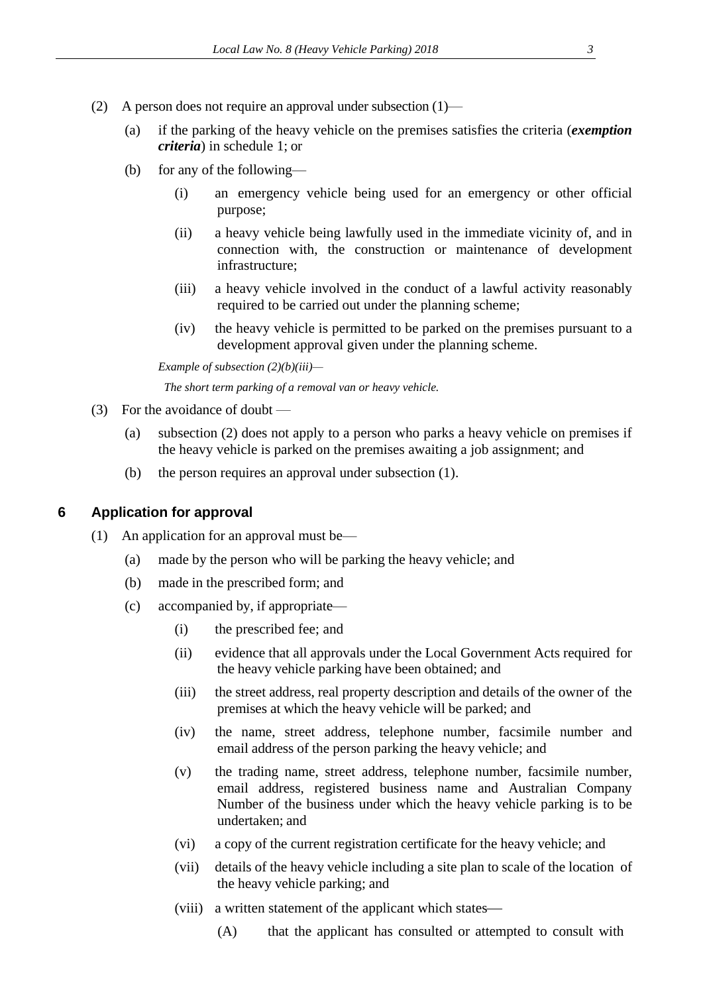- (2) A person does not require an approval under subsection (1)—
	- (a) if the parking of the heavy vehicle on the premises satisfies the criteria (*exemption criteria*) in schedule 1; or
	- (b) for any of the following—
		- (i) an emergency vehicle being used for an emergency or other official purpose;
		- (ii) a heavy vehicle being lawfully used in the immediate vicinity of, and in connection with, the construction or maintenance of development infrastructure;
		- (iii) a heavy vehicle involved in the conduct of a lawful activity reasonably required to be carried out under the planning scheme;
		- (iv) the heavy vehicle is permitted to be parked on the premises pursuant to a development approval given under the planning scheme.

*Example of subsection (2)(b)(iii)—*

*The short term parking of a removal van or heavy vehicle.*

- (3) For the avoidance of doubt
	- (a) subsection (2) does not apply to a person who parks a heavy vehicle on premises if the heavy vehicle is parked on the premises awaiting a job assignment; and
	- (b) the person requires an approval under subsection (1).

#### <span id="page-2-0"></span>**6 Application for approval**

- (1) An application for an approval must be—
	- (a) made by the person who will be parking the heavy vehicle; and
	- (b) made in the prescribed form; and
	- (c) accompanied by, if appropriate—
		- (i) the prescribed fee; and
		- (ii) evidence that all approvals under the Local Government Acts required for the heavy vehicle parking have been obtained; and
		- (iii) the street address, real property description and details of the owner of the premises at which the heavy vehicle will be parked; and
		- (iv) the name, street address, telephone number, facsimile number and email address of the person parking the heavy vehicle; and
		- (v) the trading name, street address, telephone number, facsimile number, email address, registered business name and Australian Company Number of the business under which the heavy vehicle parking is to be undertaken; and
		- (vi) a copy of the current registration certificate for the heavy vehicle; and
		- (vii) details of the heavy vehicle including a site plan to scale of the location of the heavy vehicle parking; and
		- (viii) a written statement of the applicant which states—
			- (A) that the applicant has consulted or attempted to consult with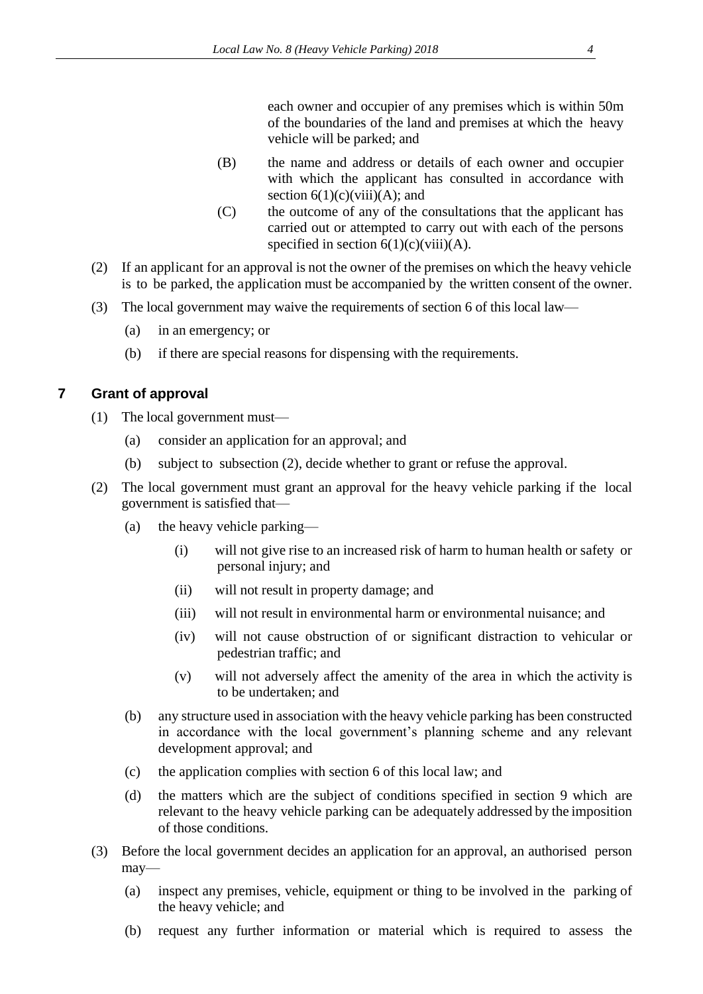each owner and occupier of any premises which is within 50m of the boundaries of the land and premises at which the heavy vehicle will be parked; and

- (B) the name and address or details of each owner and occupier with which the applicant has consulted in accordance with section  $6(1)(c)(viii)(A)$ ; and
- (C) the outcome of any of the consultations that the applicant has carried out or attempted to carry out with each of the persons specified in section  $6(1)(c)(viii)(A)$ .
- (2) If an applicant for an approval is not the owner of the premises on which the heavy vehicle is to be parked, the application must be accompanied by the written consent of the owner.
- (3) The local government may waive the requirements of section 6 of this local law—
	- (a) in an emergency; or
	- (b) if there are special reasons for dispensing with the requirements.

### <span id="page-3-0"></span>**7 Grant of approval**

- (1) The local government must—
	- (a) consider an application for an approval; and
	- (b) subject to subsection (2), decide whether to grant or refuse the approval.
- (2) The local government must grant an approval for the heavy vehicle parking if the local government is satisfied that—
	- (a) the heavy vehicle parking—
		- (i) will not give rise to an increased risk of harm to human health or safety or personal injury; and
		- (ii) will not result in property damage; and
		- (iii) will not result in environmental harm or environmental nuisance; and
		- (iv) will not cause obstruction of or significant distraction to vehicular or pedestrian traffic; and
		- (v) will not adversely affect the amenity of the area in which the activity is to be undertaken; and
	- (b) any structure used in association with the heavy vehicle parking has been constructed in accordance with the local government's planning scheme and any relevant development approval; and
	- (c) the application complies with section 6 of this local law; and
	- (d) the matters which are the subject of conditions specified in section 9 which are relevant to the heavy vehicle parking can be adequately addressed by the imposition of those conditions.
- (3) Before the local government decides an application for an approval, an authorised person may—
	- (a) inspect any premises, vehicle, equipment or thing to be involved in the parking of the heavy vehicle; and
	- (b) request any further information or material which is required to assess the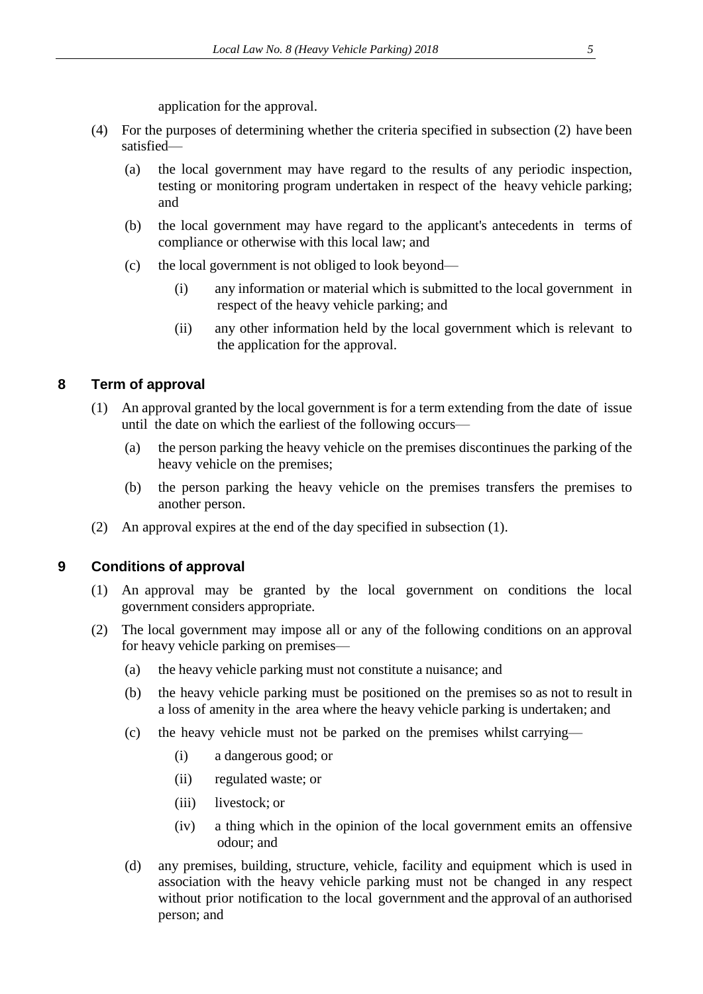application for the approval.

- (4) For the purposes of determining whether the criteria specified in subsection (2) have been satisfied—
	- (a) the local government may have regard to the results of any periodic inspection, testing or monitoring program undertaken in respect of the heavy vehicle parking; and
	- (b) the local government may have regard to the applicant's antecedents in terms of compliance or otherwise with this local law; and
	- (c) the local government is not obliged to look beyond—
		- (i) any information or material which is submitted to the local government in respect of the heavy vehicle parking; and
		- (ii) any other information held by the local government which is relevant to the application for the approval.

### <span id="page-4-0"></span>**8 Term of approval**

- (1) An approval granted by the local government is for a term extending from the date of issue until the date on which the earliest of the following occurs—
	- (a) the person parking the heavy vehicle on the premises discontinues the parking of the heavy vehicle on the premises;
	- (b) the person parking the heavy vehicle on the premises transfers the premises to another person.
- (2) An approval expires at the end of the day specified in subsection (1).

### <span id="page-4-1"></span>**9 Conditions of approval**

- (1) An approval may be granted by the local government on conditions the local government considers appropriate.
- (2) The local government may impose all or any of the following conditions on an approval for heavy vehicle parking on premises—
	- (a) the heavy vehicle parking must not constitute a nuisance; and
	- (b) the heavy vehicle parking must be positioned on the premises so as not to result in a loss of amenity in the area where the heavy vehicle parking is undertaken; and
	- (c) the heavy vehicle must not be parked on the premises whilst carrying—
		- (i) a dangerous good; or
		- (ii) regulated waste; or
		- (iii) livestock; or
		- (iv) a thing which in the opinion of the local government emits an offensive odour; and
	- (d) any premises, building, structure, vehicle, facility and equipment which is used in association with the heavy vehicle parking must not be changed in any respect without prior notification to the local government and the approval of an authorised person; and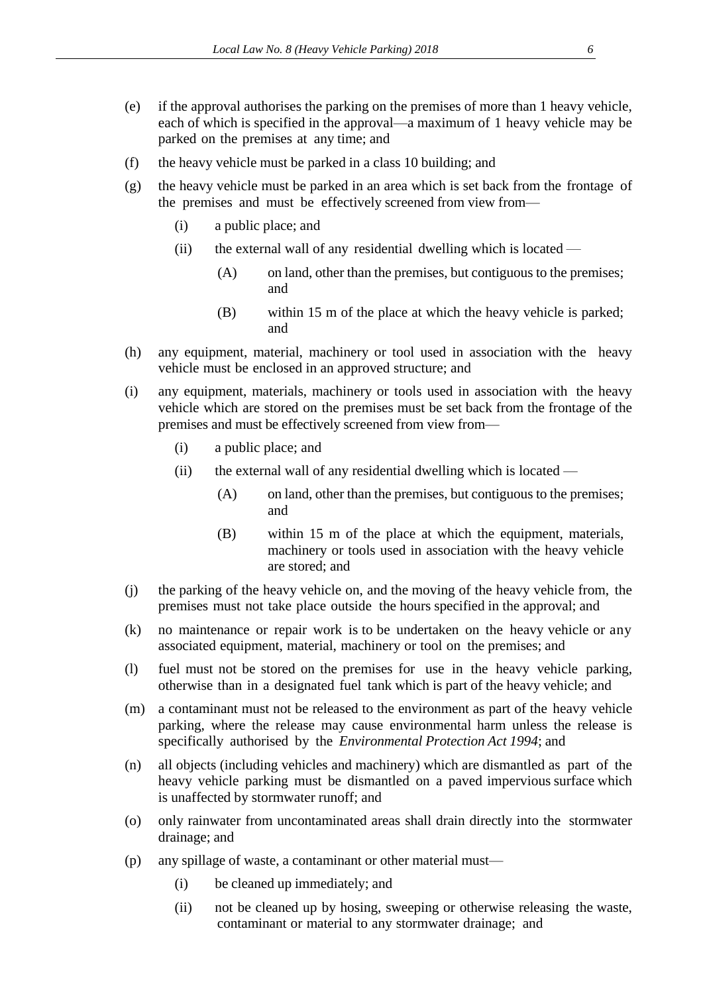- (e) if the approval authorises the parking on the premises of more than 1 heavy vehicle, each of which is specified in the approval—a maximum of 1 heavy vehicle may be parked on the premises at any time; and
- (f) the heavy vehicle must be parked in a class 10 building; and
- (g) the heavy vehicle must be parked in an area which is set back from the frontage of the premises and must be effectively screened from view from—
	- (i) a public place; and
	- (ii) the external wall of any residential dwelling which is located
		- (A) on land, other than the premises, but contiguous to the premises; and
		- (B) within 15 m of the place at which the heavy vehicle is parked; and
- (h) any equipment, material, machinery or tool used in association with the heavy vehicle must be enclosed in an approved structure; and
- (i) any equipment, materials, machinery or tools used in association with the heavy vehicle which are stored on the premises must be set back from the frontage of the premises and must be effectively screened from view from—
	- (i) a public place; and
	- (ii) the external wall of any residential dwelling which is located
		- (A) on land, other than the premises, but contiguous to the premises; and
		- (B) within 15 m of the place at which the equipment, materials, machinery or tools used in association with the heavy vehicle are stored; and
- (j) the parking of the heavy vehicle on, and the moving of the heavy vehicle from, the premises must not take place outside the hours specified in the approval; and
- (k) no maintenance or repair work is to be undertaken on the heavy vehicle or any associated equipment, material, machinery or tool on the premises; and
- (l) fuel must not be stored on the premises for use in the heavy vehicle parking, otherwise than in a designated fuel tank which is part of the heavy vehicle; and
- (m) a contaminant must not be released to the environment as part of the heavy vehicle parking, where the release may cause environmental harm unless the release is specifically authorised by the *Environmental Protection Act 1994*; and
- (n) all objects (including vehicles and machinery) which are dismantled as part of the heavy vehicle parking must be dismantled on a paved impervious surface which is unaffected by stormwater runoff; and
- (o) only rainwater from uncontaminated areas shall drain directly into the stormwater drainage; and
- (p) any spillage of waste, a contaminant or other material must—
	- (i) be cleaned up immediately; and
	- (ii) not be cleaned up by hosing, sweeping or otherwise releasing the waste, contaminant or material to any stormwater drainage; and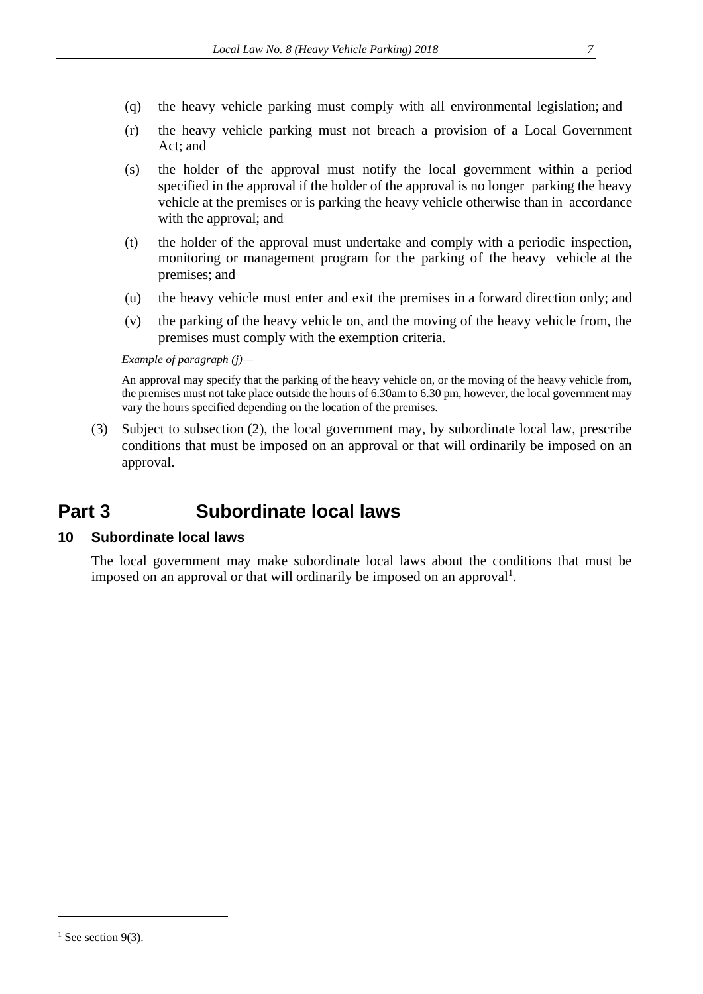- (q) the heavy vehicle parking must comply with all environmental legislation; and
- (r) the heavy vehicle parking must not breach a provision of a Local Government Act; and
- (s) the holder of the approval must notify the local government within a period specified in the approval if the holder of the approval is no longer parking the heavy vehicle at the premises or is parking the heavy vehicle otherwise than in accordance with the approval; and
- (t) the holder of the approval must undertake and comply with a periodic inspection, monitoring or management program for the parking of the heavy vehicle at the premises; and
- (u) the heavy vehicle must enter and exit the premises in a forward direction only; and
- (v) the parking of the heavy vehicle on, and the moving of the heavy vehicle from, the premises must comply with the exemption criteria.

#### *Example of paragraph (j)—*

An approval may specify that the parking of the heavy vehicle on, or the moving of the heavy vehicle from, the premises must not take place outside the hours of 6.30am to 6.30 pm, however, the local government may vary the hours specified depending on the location of the premises.

(3) Subject to subsection (2), the local government may, by subordinate local law, prescribe conditions that must be imposed on an approval or that will ordinarily be imposed on an approval.

# <span id="page-6-0"></span>**Part 3 Subordinate local laws**

#### <span id="page-6-1"></span>**10 Subordinate local laws**

The local government may make subordinate local laws about the conditions that must be imposed on an approval or that will ordinarily be imposed on an approval<sup>1</sup>.

 $\overline{a}$ 

 $1$  See section 9(3).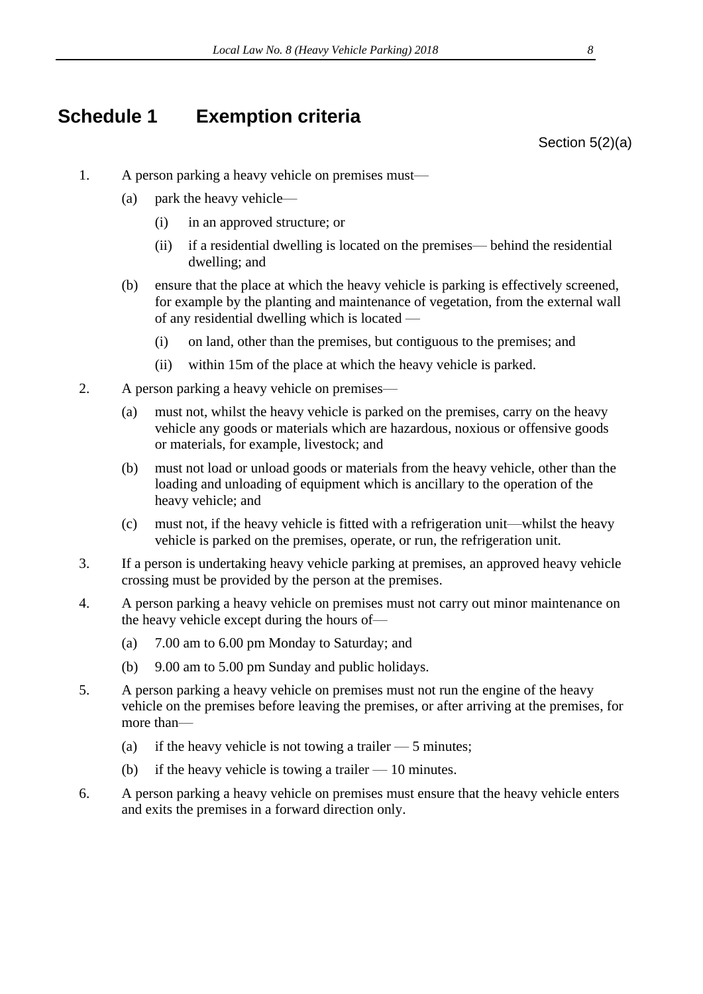# <span id="page-7-0"></span>**Schedule 1 Exemption criteria**

Section 5(2)(a)

- 1. A person parking a heavy vehicle on premises must—
	- (a) park the heavy vehicle—
		- (i) in an approved structure; or
		- (ii) if a residential dwelling is located on the premises— behind the residential dwelling; and
	- (b) ensure that the place at which the heavy vehicle is parking is effectively screened, for example by the planting and maintenance of vegetation, from the external wall of any residential dwelling which is located —
		- (i) on land, other than the premises, but contiguous to the premises; and
		- (ii) within 15m of the place at which the heavy vehicle is parked.
- 2. A person parking a heavy vehicle on premises—
	- (a) must not, whilst the heavy vehicle is parked on the premises, carry on the heavy vehicle any goods or materials which are hazardous, noxious or offensive goods or materials, for example, livestock; and
	- (b) must not load or unload goods or materials from the heavy vehicle, other than the loading and unloading of equipment which is ancillary to the operation of the heavy vehicle; and
	- (c) must not, if the heavy vehicle is fitted with a refrigeration unit—whilst the heavy vehicle is parked on the premises, operate, or run, the refrigeration unit.
- 3. If a person is undertaking heavy vehicle parking at premises, an approved heavy vehicle crossing must be provided by the person at the premises.
- 4. A person parking a heavy vehicle on premises must not carry out minor maintenance on the heavy vehicle except during the hours of—
	- (a) 7.00 am to 6.00 pm Monday to Saturday; and
	- (b) 9.00 am to 5.00 pm Sunday and public holidays.
- 5. A person parking a heavy vehicle on premises must not run the engine of the heavy vehicle on the premises before leaving the premises, or after arriving at the premises, for more than—
	- (a) if the heavy vehicle is not towing a trailer  $-5$  minutes;
	- (b) if the heavy vehicle is towing a trailer  $-10$  minutes.
- 6. A person parking a heavy vehicle on premises must ensure that the heavy vehicle enters and exits the premises in a forward direction only.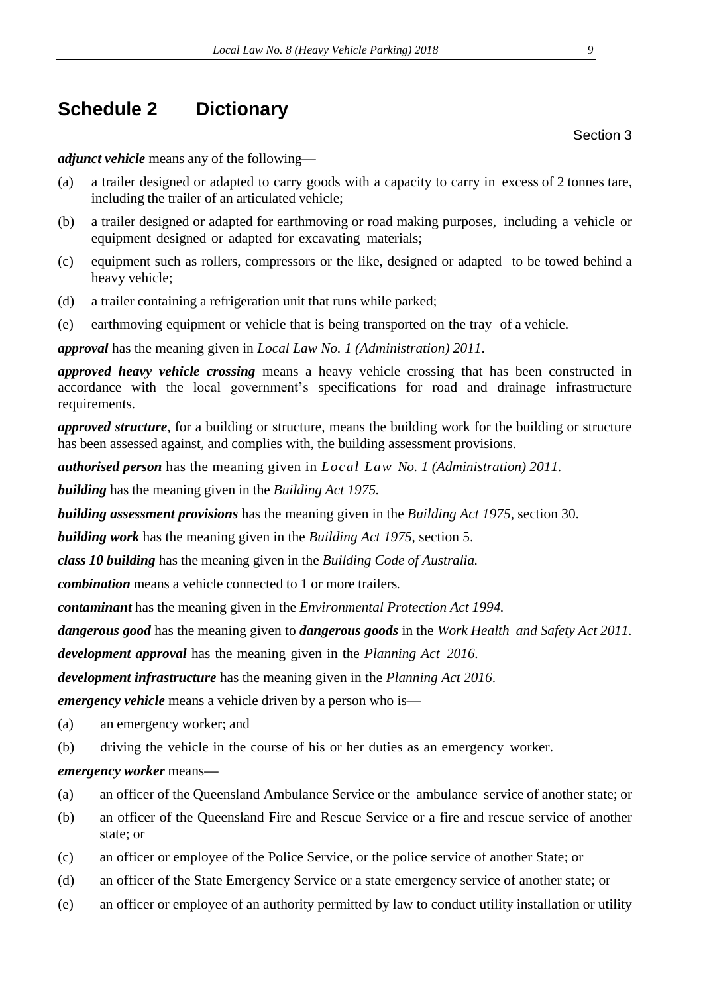# <span id="page-8-0"></span>**Schedule 2 Dictionary**

*adjunct vehicle* means any of the following*—*

- (a) a trailer designed or adapted to carry goods with a capacity to carry in excess of 2 tonnes tare, including the trailer of an articulated vehicle;
- (b) a trailer designed or adapted for earthmoving or road making purposes, including a vehicle or equipment designed or adapted for excavating materials;
- (c) equipment such as rollers, compressors or the like, designed or adapted to be towed behind a heavy vehicle;
- (d) a trailer containing a refrigeration unit that runs while parked;
- (e) earthmoving equipment or vehicle that is being transported on the tray of a vehicle.

*approval* has the meaning given in *Local Law No. 1 (Administration) 2011*.

*approved heavy vehicle crossing* means a heavy vehicle crossing that has been constructed in accordance with the local government's specifications for road and drainage infrastructure requirements.

*approved structure*, for a building or structure, means the building work for the building or structure has been assessed against, and complies with, the building assessment provisions.

*authorised person* has the meaning given in *Local Law No. 1 (Administration) 2011.*

*building* has the meaning given in the *Building Act 1975.*

*building assessment provisions* has the meaning given in the *Building Act 1975*, section 30.

*building work* has the meaning given in the *Building Act 1975*, section 5.

*class 10 building* has the meaning given in the *Building Code of Australia.*

*combination* means a vehicle connected to 1 or more trailers*.*

*contaminant* has the meaning given in the *Environmental Protection Act 1994.*

*dangerous good* has the meaning given to *dangerous goods* in the *Work Health and Safety Act 2011.*

*development approval* has the meaning given in the *Planning Act 2016.*

*development infrastructure* has the meaning given in the *Planning Act 2016*.

*emergency vehicle* means a vehicle driven by a person who is*—*

- (a) an emergency worker; and
- (b) driving the vehicle in the course of his or her duties as an emergency worker.
- *emergency worker* means*—*
- (a) an officer of the Queensland Ambulance Service or the ambulance service of another state; or
- (b) an officer of the Queensland Fire and Rescue Service or a fire and rescue service of another state; or
- (c) an officer or employee of the Police Service, or the police service of another State; or
- (d) an officer of the State Emergency Service or a state emergency service of another state; or
- (e) an officer or employee of an authority permitted by law to conduct utility installation or utility

Section 3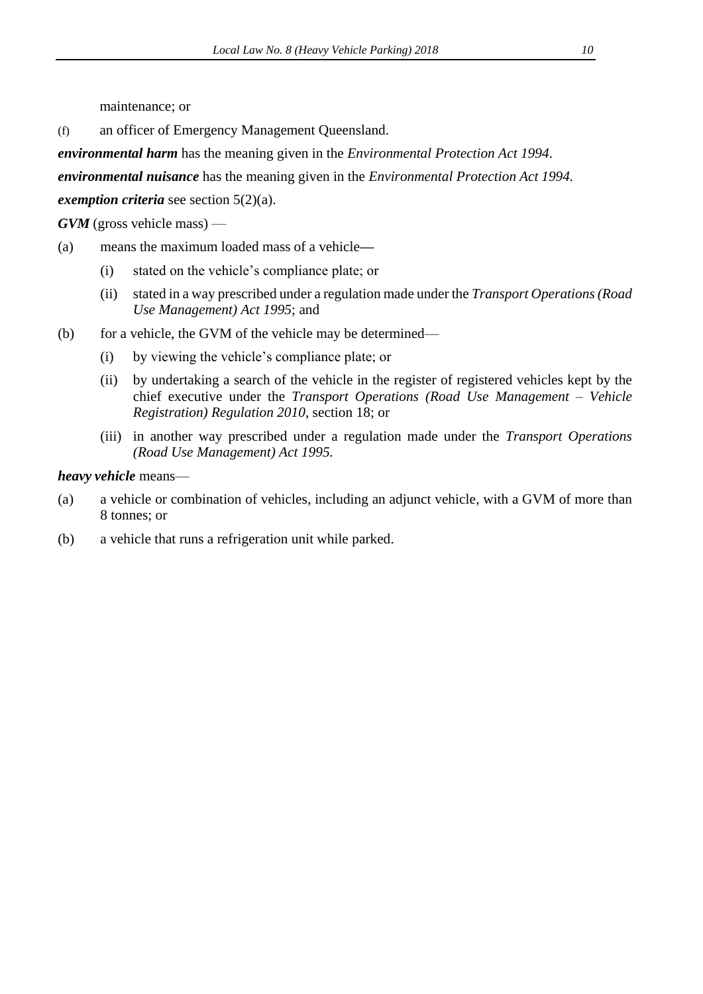maintenance; or

(f) an officer of Emergency Management Queensland.

*environmental harm* has the meaning given in the *Environmental Protection Act 1994*.

*environmental nuisance* has the meaning given in the *Environmental Protection Act 1994.*

*exemption criteria* see section 5(2)(a).

*GVM* (gross vehicle mass) —

- (a) means the maximum loaded mass of a vehicle*—*
	- (i) stated on the vehicle's compliance plate; or
	- (ii) stated in a way prescribed under a regulation made under the *Transport Operations (Road Use Management) Act 1995*; and
- (b) for a vehicle, the GVM of the vehicle may be determined—
	- (i) by viewing the vehicle's compliance plate; or
	- (ii) by undertaking a search of the vehicle in the register of registered vehicles kept by the chief executive under the *Transport Operations (Road Use Management – Vehicle Registration) Regulation 2010*, section 18; or
	- (iii) in another way prescribed under a regulation made under the *Transport Operations (Road Use Management) Act 1995.*

#### *heavy vehicle* means—

- (a) a vehicle or combination of vehicles, including an adjunct vehicle, with a GVM of more than 8 tonnes; or
- (b) a vehicle that runs a refrigeration unit while parked.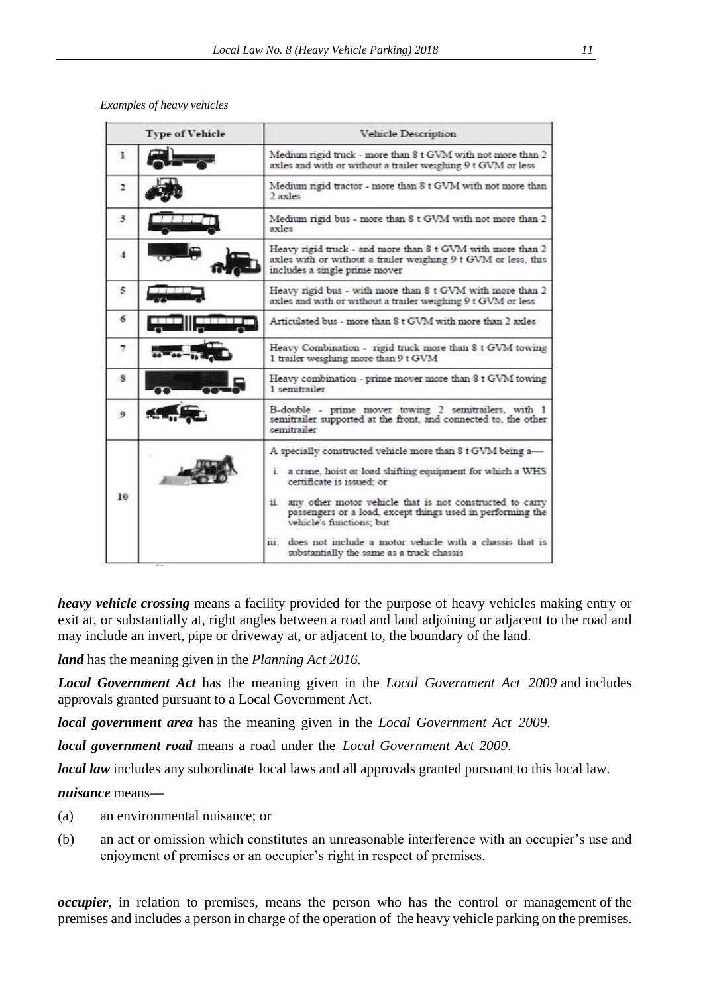*Examples of heavy vehicles*

| Medium rigid truck - more than 8 t GVM with not more than 2<br>axles and with or without a trailer weighing 9 t GVM or less<br>Medium rigid tractor - more than 8 t GVM with not more than<br>2 axles<br>Medium rigid bus - more than 8 t GVM with not more than 2                                                                                                                                |
|---------------------------------------------------------------------------------------------------------------------------------------------------------------------------------------------------------------------------------------------------------------------------------------------------------------------------------------------------------------------------------------------------|
|                                                                                                                                                                                                                                                                                                                                                                                                   |
|                                                                                                                                                                                                                                                                                                                                                                                                   |
| axles                                                                                                                                                                                                                                                                                                                                                                                             |
| Heavy rigid truck - and more than 8 t GVM with more than 2<br>axles with or without a trailer weighing 9 t GVM or less, this<br>includes a single prime mover                                                                                                                                                                                                                                     |
| Heavy rigid bus - with more than 8 t GVM with more than 2<br>axles and with or without a trailer weighing 9 t GVM or less                                                                                                                                                                                                                                                                         |
| Articulated bus - more than 8 t GVM with more than 2 axles                                                                                                                                                                                                                                                                                                                                        |
| Heavy Combination - rigid truck more than 8 t GVM towing<br>1 trailer weighing more than 9 t GVM                                                                                                                                                                                                                                                                                                  |
| Heavy combination - prime mover more than 8 t GVM towing<br>1 semitrailer                                                                                                                                                                                                                                                                                                                         |
| B-double - prime mover towing 2 semitrailers, with 1<br>semitrailer supported at the front, and connected to, the other<br>semitrailer                                                                                                                                                                                                                                                            |
| A specially constructed vehicle more than 8 t GVM being a-<br>i. a crane, hoist or load shifting equipment for which a WHS<br>certificate is issued; or<br>any other motor vehicle that is not constructed to carry<br>$\overline{11}$<br>passengers or a load, except things used in performing the<br>vehicle's functions; but<br>does not include a motor vehicle with a chassis that is<br>ш. |
|                                                                                                                                                                                                                                                                                                                                                                                                   |

*heavy vehicle crossing* means a facility provided for the purpose of heavy vehicles making entry or exit at, or substantially at, right angles between a road and land adjoining or adjacent to the road and may include an invert, pipe or driveway at, or adjacent to, the boundary of the land.

*land* has the meaning given in the *Planning Act 2016.*

*Local Government Act* has the meaning given in the *Local Government Act 2009* and includes approvals granted pursuant to a Local Government Act.

*local government area* has the meaning given in the *Local Government Act 2009*.

*local government road* means a road under the *Local Government Act 2009*.

*local law* includes any subordinate local laws and all approvals granted pursuant to this local law.

*nuisance* means*—*

- (a) an environmental nuisance; or
- (b) an act or omission which constitutes an unreasonable interference with an occupier's use and enjoyment of premises or an occupier's right in respect of premises.

*occupier*, in relation to premises, means the person who has the control or management of the premises and includes a person in charge of the operation of the heavy vehicle parking on the premises.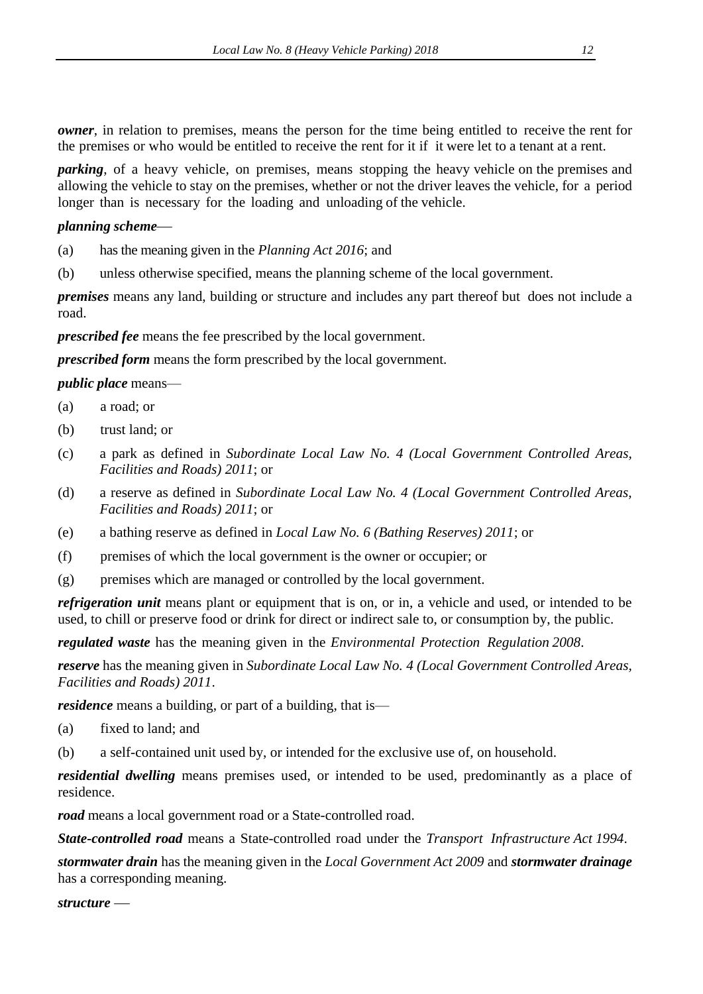*owner*, in relation to premises, means the person for the time being entitled to receive the rent for the premises or who would be entitled to receive the rent for it if it were let to a tenant at a rent.

*parking*, of a heavy vehicle, on premises, means stopping the heavy vehicle on the premises and allowing the vehicle to stay on the premises, whether or not the driver leaves the vehicle, for a period longer than is necessary for the loading and unloading of the vehicle.

*planning scheme*—

- (a) has the meaning given in the *Planning Act 2016*; and
- (b) unless otherwise specified, means the planning scheme of the local government.

*premises* means any land, building or structure and includes any part thereof but does not include a road.

*prescribed fee* means the fee prescribed by the local government.

*prescribed form* means the form prescribed by the local government.

*public place* means—

- (a) a road; or
- (b) trust land; or
- (c) a park as defined in *Subordinate Local Law No. 4 (Local Government Controlled Areas, Facilities and Roads) 2011*; or
- (d) a reserve as defined in *Subordinate Local Law No. 4 (Local Government Controlled Areas, Facilities and Roads) 2011*; or
- (e) a bathing reserve as defined in *Local Law No. 6 (Bathing Reserves) 2011*; or
- (f) premises of which the local government is the owner or occupier; or
- (g) premises which are managed or controlled by the local government.

*refrigeration unit* means plant or equipment that is on, or in, a vehicle and used, or intended to be used, to chill or preserve food or drink for direct or indirect sale to, or consumption by, the public.

*regulated waste* has the meaning given in the *Environmental Protection Regulation 2008*.

*reserve* has the meaning given in *Subordinate Local Law No. 4 (Local Government Controlled Areas, Facilities and Roads) 2011*.

*residence* means a building, or part of a building, that is—

- (a) fixed to land; and
- (b) a self-contained unit used by, or intended for the exclusive use of, on household.

*residential dwelling* means premises used, or intended to be used, predominantly as a place of residence.

*road* means a local government road or a State-controlled road.

*State-controlled road* means a State-controlled road under the *Transport Infrastructure Act 1994*.

*stormwater drain* has the meaning given in the *Local Government Act 2009* and *stormwater drainage* has a corresponding meaning.

structure –